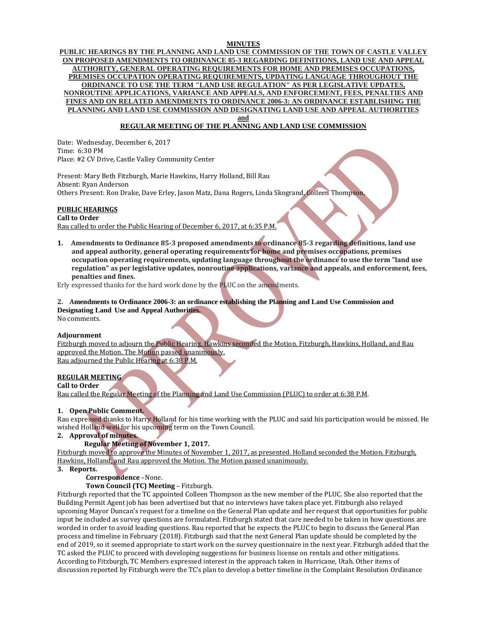# **MINUTES**

**PUBLIC HEARINGS BY THE PLANNING AND LAND USE COMMISSION OF THE TOWN OF CASTLE VALLEY ON PROPOSED AMENDMENTS TO ORDINANCE 85-3 REGARDING DEFINITIONS, LAND USE AND APPEAL AUTHORITY, GENERAL OPERATING REQUIREMENTS FOR HOME AND PREMISES OCCUPATIONS, PREMISES OCCUPATION OPERATING REQUIREMENTS, UPDATING LANGUAGE THROUGHOUT THE ORDINANCE TO USE THE TERM "LAND USE REGULATION" AS PER LEGISLATIVE UPDATES, NONROUTINE APPLICATIONS, VARIANCE AND APPEALS, AND ENFORCEMENT, FEES, PENALTIES AND FINES AND ON RELATED AMENDMENTS TO ORDINANCE 2006-3: AN ORDINANCE ESTABLISHING THE PLANNING AND LAND USE COMMISSION AND DESIGNATING LAND USE AND APPEAL AUTHORITIES and**

**REGULAR MEETING OF THE PLANNING AND LAND USE COMMISSION**

Date: Wednesday, December 6, 2017 Time: 6:30 PM Place: #2 CV Drive, Castle Valley Community Center

Present: Mary Beth Fitzburgh, Marie Hawkins, Harry Holland, Bill Rau Absent: Ryan Anderson Others Present: Ron Drake, Dave Erley, Jason Matz, Dana Rogers, Linda Skogrand, Colleen Thompson,

# **PUBLIC HEARINGS**

**Call to Order**

Rau called to order the Public Hearing of December 6, 2017, at 6:35 P.M.

**1. Amendments to Ordinance 85-3 proposed amendments to ordinance 85-3 regarding definitions, land use and appeal authority, general operating requirements for home and premises occupations, premises occupation operating requirements, updating language throughout the ordinance to use the term "land use regulation" as per legislative updates, nonroutine applications, variance and appeals, and enforcement, fees, penalties and fines.**

Erly expressed thanks for the hard work done by the PLUC on the amendments.

### **2. Amendments to Ordinance 2006-3: an ordinance establishing the Planning and Land Use Commission and**

**Designating Land Use and Appeal Authorities.**

No comments.

# **Adjournment**

Fitzburgh moved to adjourn the Public Hearing. Hawkins seconded the Motion. Fitzburgh, Hawkins, Holland, and Rau approved the Motion. The Motion passed unanimously. Rau adjourned the Public Hearing at 6:38 P.M.

# **REGULAR MEETING**

**Call to Order** Rau called the Regular Meeting of the Planning and Land Use Commission (PLUC) to order at 6:38 P.M.

# **1. Open Public Comment.**

Rau expressed thanks to Harry Holland for his time working with the PLUC and said his participation would be missed. He wished Holland well for his upcoming term on the Town Council.

# **2. Approval of minutes.**

# **Regular Meeting of November 1, 2017.**

Fitzburgh moved to approve the Minutes of November 1, 2017, as presented. Holland seconded the Motion. Fitzburgh, Hawkins, Holland, and Rau approved the Motion. The Motion passed unanimously.

### **3. Reports.**

# **Correspondence** –None.

# **Town Council (TC) Meeting** – Fitzburgh.

Fitzburgh reported that the TC appointed Colleen Thompson as the new member of the PLUC. She also reported that the Building Permit Agent job has been advertised but that no interviews have taken place yet. Fitzburgh also relayed upcoming Mayor Duncan's request for a timeline on the General Plan update and her request that opportunities for public input be included as survey questions are formulated. Fitzburgh stated that care needed to be taken in how questions are worded in order to avoid leading questions. Rau reported that he expects the PLUC to begin to discuss the General Plan process and timeline in February (2018). Fitzburgh said that the next General Plan update should be completed by the end of 2019, so it seemed appropriate to start work on the survey questionnaire in the next year. Fitzburgh added that the TC asked the PLUC to proceed with developing suggestions for business license on rentals and other mitigations. According to Fitzburgh, TC Members expressed interest in the approach taken in Hurricane, Utah. Other items of discussion reported by Fitzburgh were the TC's plan to develop a better timeline in the Complaint Resolution Ordinance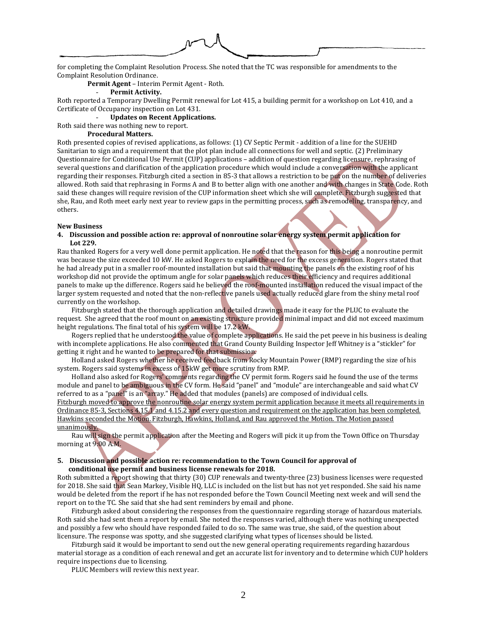for completing the Complaint Resolution Process. She noted that the TC was responsible for amendments to the Complaint Resolution Ordinance.

**Permit Agent** – Interim Permit Agent - Roth.

# - **Permit Activity.**

Roth reported a Temporary Dwelling Permit renewal for Lot 415, a building permit for a workshop on Lot 410, and a Certificate of Occupancy inspection on Lot 431.

- **Updates on Recent Applications.**

Roth said there was nothing new to report.

**Procedural Matters.**

Roth presented copies of revised applications, as follows: (1) CV Septic Permit - addition of a line for the SUEHD Sanitarian to sign and a requirement that the plot plan include all connections for well and septic. (2) Preliminary Questionnaire for Conditional Use Permit (CUP) applications – addition of question regarding licensure, rephrasing of several questions and clarification of the application procedure which would include a conversation with the applicant regarding their responses. Fitzburgh cited a section in 85-3 that allows a restriction to be put on the number of deliveries allowed. Roth said that rephrasing in Forms A and B to better align with one another and with changes in State Code. Roth said these changes will require revision of the CUP information sheet which she will complete. Fitzburgh suggested that she, Rau, and Roth meet early next year to review gaps in the permitting process, such as remodeling, transparency, and others.

### **New Business**

### **4. Discussion and possible action re: approval of nonroutine solar energy system permit application for Lot 229.**

Rau thanked Rogers for a very well done permit application. He noted that the reason for this being a nonroutine permit was because the size exceeded 10 kW. He asked Rogers to explain the need for the excess generation. Rogers stated that he had already put in a smaller roof-mounted installation but said that mounting the panels on the existing roof of his workshop did not provide the optimum angle for solar panels which reduces their efficiency and requires additional panels to make up the difference. Rogers said he believed the roof-mounted installation reduced the visual impact of the larger system requested and noted that the non-reflective panels used actually reduced glare from the shiny metal roof currently on the workshop.

Fitzburgh stated that the thorough application and detailed drawings made it easy for the PLUC to evaluate the request. She agreed that the roof mount on an existing structure provided minimal impact and did not exceed maximum height regulations. The final total of his system will be 17.2 kW.

Rogers replied that he understood the value of complete applications. He said the pet peeve in his business is dealing with incomplete applications. He also commented that Grand County Building Inspector Jeff Whitney is a "stickler" for getting it right and he wanted to be prepared for that submission.

Holland asked Rogers whether he received feedback from Rocky Mountain Power (RMP) regarding the size of his system. Rogers said systems in excess of 15kW get more scrutiny from RMP.

Holland also asked for Rogers' comments regarding the CV permit form. Rogers said he found the use of the terms module and panel to be ambiguous in the CV form. He said "panel" and "module" are interchangeable and said what CV referred to as a "panel" is an "array." He added that modules (panels) are composed of individual cells. Fitzburgh moved to approve the nonroutine solar energy system permit application because it meets all requirements in Ordinance 85-3, Sections 4.15.1 and 4.15.2 and every question and requirement on the application has been completed. Hawkins seconded the Motion. Fitzburgh, Hawkins, Holland, and Rau approved the Motion. The Motion passed unanimously.

Rau will sign the permit application after the Meeting and Rogers will pick it up from the Town Office on Thursday morning at 9:00 A.M.

### **5. Discussion and possible action re: recommendation to the Town Council for approval of conditional use permit and business license renewals for 2018.**

Roth submitted a report showing that thirty (30) CUP renewals and twenty-three (23) business licenses were requested for 2018. She said that Sean Markey, Visible HQ, LLC is included on the list but has not yet responded. She said his name would be deleted from the report if he has not responded before the Town Council Meeting next week and will send the report on to the TC. She said that she had sent reminders by email and phone.

Fitzburgh asked about considering the responses from the questionnaire regarding storage of hazardous materials. Roth said she had sent them a report by email. She noted the responses varied, although there was nothing unexpected and possibly a few who should have responded failed to do so. The same was true, she said, of the question about licensure. The response was spotty, and she suggested clarifying what types of licenses should be listed.

Fitzburgh said it would be important to send out the new general operating requirements regarding hazardous material storage as a condition of each renewal and get an accurate list for inventory and to determine which CUP holders require inspections due to licensing.

PLUC Members will review this next year.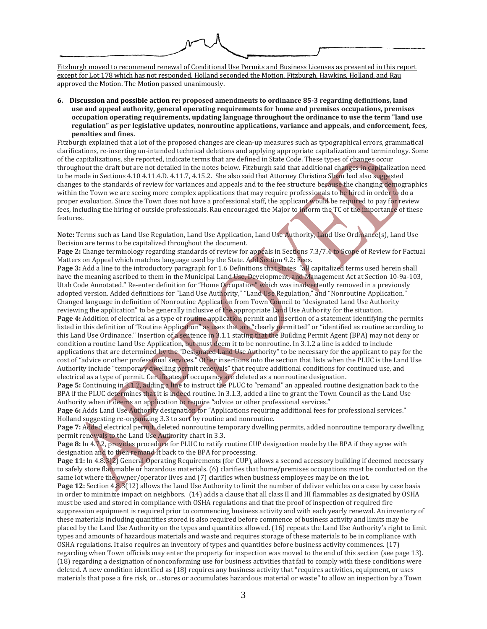Fitzburgh moved to recommend renewal of Conditional Use Permits and Business Licenses as presented in this report except for Lot 178 which has not responded. Holland seconded the Motion. Fitzburgh, Hawkins, Holland, and Rau approved the Motion. The Motion passed unanimously.

**6. Discussion and possible action re: proposed amendments to ordinance 85-3 regarding definitions, land use and appeal authority, general operating requirements for home and premises occupations, premises occupation operating requirements, updating language throughout the ordinance to use the term "land use regulation" as per legislative updates, nonroutine applications, variance and appeals, and enforcement, fees, penalties and fines.**

Fitzburgh explained that a lot of the proposed changes are clean-up measures such as typographical errors, grammatical clarifications, re-inserting un-intended technical deletions and applying appropriate capitalization and terminology. Some of the capitalizations, she reported, indicate terms that are defined in State Code. These types of changes occur throughout the draft but are not detailed in the notes below. Fitzburgh said that additional changes in capitalization need to be made in Sections 4.10 4.11.4.D. 4.11.7, 4.15.2. She also said that Attorney Christina Sloan had also suggested changes to the standards of review for variances and appeals and to the fee structure because the changing demographics within the Town we are seeing more complex applications that may require professionals to be hired in order to do a proper evaluation. Since the Town does not have a professional staff, the applicant would be required to pay for review fees, including the hiring of outside professionals. Rau encouraged the Major to inform the TC of the importance of these features.

**Note:** Terms such as Land Use Regulation, Land Use Application, Land Use Authority, Land Use Ordinance(s), Land Use Decision are terms to be capitalized throughout the document.

**Page 2:** Change terminology regarding standards of review for appeals in Sections 7.3/7.4 to Scope of Review for Factual Matters on Appeal which matches language used by the State. Add Section 9.2: Fees.

**Page 3:** Add a line to the introductory paragraph for 1.6 Definitions that states "all capitalized terms used herein shall have the meaning ascribed to them in the Municipal Land Use, Development, and Management Act at Section 10-9a-103, Utah Code Annotated." Re-enter definition for "Home Occupation" which was inadvertently removed in a previously adopted version. Added definitions for "Land Use Authority," "Land Use Regulation," and "Nonroutine Application." Changed language in definition of Nonroutine Application from Town Council to "designated Land Use Authority reviewing the application" to be generally inclusive of the appropriate Land Use Authority for the situation. **Page 4:** Addition of electrical as a type of routine application permit and insertion of a statement identifying the permits listed in this definition of "Routine Application" as uses that are "clearly permitted" or "identified as routine according to this Land Use Ordinance." Insertion of a sentence in 3.1.1 stating that the Building Permit Agent (BPA) may not deny or condition a routine Land Use Application, but must deem it to be nonroutine. In 3.1.2 a line is added to include applications that are determined by the "Designated Land Use Authority" to be necessary for the applicant to pay for the cost of "advice or other professional services." Other insertions into the section that lists when the PLUC is the Land Use Authority include "temporary dwelling permit renewals" that require additional conditions for continued use, and electrical as a type of permit. Certificates of occupancy are deleted as a nonroutine designation.

**Page 5:** Continuing in 3.1.2, adding a line to instruct the PLUC to "remand" an appealed routine designation back to the BPA if the PLUC determines that it is indeed routine. In 3.1.3, added a line to grant the Town Council as the Land Use Authority when it deems an application to require "advice or other professional services."

**Page 6:** Adds Land Use Authority designation for "Applications requiring additional fees for professional services." Holland suggesting re-organizing 3.3 to sort by routine and nonroutine.

**Page 7:** Added electrical permit, deleted nonroutine temporary dwelling permits, added nonroutine temporary dwelling permit renewals to the Land Use Authority chart in 3.3.

**Page 8:** In 4.7.2, provides procedure for PLUC to ratify routine CUP designation made by the BPA if they agree with designation and to then remand it back to the BPA for processing.

**Page 11:** In 4.8.3(2) General Operating Requirements (for CUP), allows a second accessory building if deemed necessary to safely store flammable or hazardous materials. (6) clarifies that home/premises occupations must be conducted on the same lot where the owner/operator lives and (7) clarifies when business employees may be on the lot.

**Page 12:** Section 4.8.3(12) allows the Land Use Authority to limit the number of deliver vehicles on a case by case basis in order to minimize impact on neighbors. (14) adds a clause that all class II and III flammables as designated by OSHA must be used and stored in compliance with OSHA regulations and that the proof of inspection of required fire suppression equipment is required prior to commencing business activity and with each yearly renewal. An inventory of these materials including quantities stored is also required before commence of business activity and limits may be placed by the Land Use Authority on the types and quantities allowed. (16) repeats the Land Use Authority's right to limit types and amounts of hazardous materials and waste and requires storage of these materials to be in compliance with OSHA regulations. It also requires an inventory of types and quantities before business activity commences. (17) regarding when Town officials may enter the property for inspection was moved to the end of this section (see page 13). (18) regarding a designation of nonconforming use for business activities that fail to comply with these conditions were deleted. A new condition identified as (18) requires any business activity that "requires activities, equipment, or uses materials that pose a fire risk, or…stores or accumulates hazardous material or waste" to allow an inspection by a Town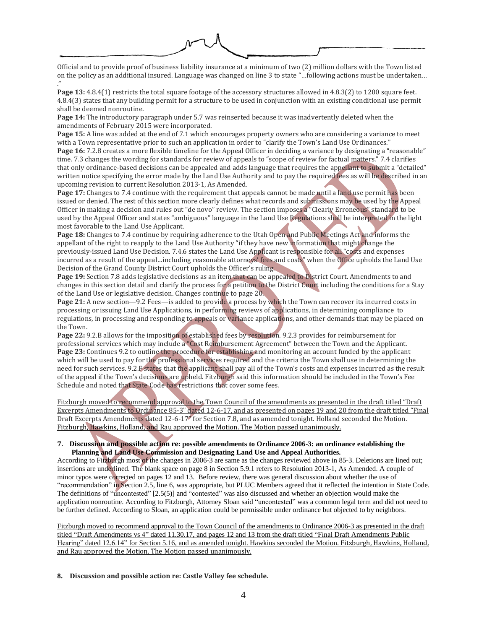Official and to provide proof of business liability insurance at a minimum of two (2) million dollars with the Town listed on the policy as an additional insured. Language was changed on line 3 to state "…following actions must be undertaken… ."

**Page 13:** 4.8.4(1) restricts the total square footage of the accessory structures allowed in 4.8.3(2) to 1200 square feet. 4.8.4(3) states that any building permit for a structure to be used in conjunction with an existing conditional use permit shall be deemed nonroutine.

**Page 14:** The introductory paragraph under 5.7 was reinserted because it was inadvertently deleted when the amendments of February 2015 were incorporated.

**Page 15:** A line was added at the end of 7.1 which encourages property owners who are considering a variance to meet with a Town representative prior to such an application in order to "clarify the Town's Land Use Ordinances." **Page 16:** 7.2.8 creates a more flexible timeline for the Appeal Officer in deciding a variance by designating a "reasonable" time. 7.3 changes the wording for standards for review of appeals to "scope of review for factual matters." 7.4 clarifies that only ordinance-based decisions can be appealed and adds language that requires the appellant to submit a "detailed" written notice specifying the error made by the Land Use Authority and to pay the required fees as will be described in an upcoming revision to current Resolution 2013-1, As Amended.

**Page 17:** Changes to 7.4 continue with the requirement that appeals cannot be made until a land use permit has been issued or denied. The rest of this section more clearly defines what records and submissions may be used by the Appeal Officer in making a decision and rules out "de novo" review. The section imposes a "Clearly Erroneous" standard to be used by the Appeal Officer and states "ambiguous" language in the Land Use Regulations shall be interpreted in the light most favorable to the Land Use Applicant.

**Page 18:** Changes to 7.4 continue by requiring adherence to the Utah Open and Public Meetings Act and informs the appellant of the right to reapply to the Land Use Authority "if they have new information that might change the previously-issued Land Use Decision. 7.4.6 states the Land Use Applicant is responsible for all "costs and expenses incurred as a result of the appeal…including reasonable attorneys' fees and costs" when the Office upholds the Land Use Decision of the Grand County District Court upholds the Officer's ruling.

**Page 19:** Section 7.8 adds legislative decisions as an item that can be appealed to District Court. Amendments to and changes in this section detail and clarify the process for a petition to the District Court including the conditions for a Stay of the Land Use or legislative decision. Changes continue to page 20.

**Page 21:** A new section—9.2 Fees—is added to provide a process by which the Town can recover its incurred costs in processing or issuing Land Use Applications, in performing reviews of applications, in determining compliance to regulations, in processing and responding to appeals or variance applications, and other demands that may be placed on the Town.

**Page 22:** 9.2.B allows for the imposition of established fees by resolution. 9.2.3 provides for reimbursement for professional services which may include a "Cost Reimbursement Agreement" between the Town and the Applicant. **Page 23:** Continues 9.2 to outline the procedure for establishing and monitoring an account funded by the applicant which will be used to pay for the professional services required and the criteria the Town shall use in determining the need for such services. 9.2.F states that the applicant shall pay all of the Town's costs and expenses incurred as the result of the appeal if the Town's decisions are upheld. Fitzburgh said this information should be included in the Town's Fee Schedule and noted that State Code has restrictions that cover some fees.

Fitzburgh moved to recommend approval to the Town Council of the amendments as presented in the draft titled "Draft Excerpts Amendments to Ordinance 85-3" dated 12-6-17, and as presented on pages 19 and 20 from the draft titled "Final Draft Excerpts Amendments dated 12-6-17" for Section 7.8, and as amended tonight. Holland seconded the Motion. Fitzburgh, Hawkins, Holland, and Rau approved the Motion. The Motion passed unanimously.

### **7. Discussion and possible action re: possible amendments to Ordinance 2006-3: an ordinance establishing the Planning and Land Use Commission and Designating Land Use and Appeal Authorities.**

According to Fitzburgh most of the changes in 2006-3 are same as the changes reviewed above in 85-3. Deletions are lined out; insertions are underlined. The blank space on page 8 in Section 5.9.1 refers to Resolution 2013-1, As Amended. A couple of minor typos were corrected on pages 12 and 13. Before review, there was general discussion about whether the use of "recommendation" in Section 2.5, line 6, was appropriate, but PLUC Members agreed that it reflected the intention in State Code. The definitions of "uncontested" [2.5(5)] and "contested" was also discussed and whether an objection would make the application nonroutine. According to Fitzburgh, Attorney Sloan said "uncontested" was a common legal term and did not need to be further defined. According to Sloan, an application could be permissible under ordinance but objected to by neighbors.

Fitzburgh moved to recommend approval to the Town Council of the amendments to Ordinance 2006-3 as presented in the draft titled "Draft Amendments vs 4" dated 11.30.17, and pages 12 and 13 from the draft titled "Final Draft Amendments Public Hearing" dated 12.6.14" for Section 5.16, and as amended tonight. Hawkins seconded the Motion. Fitzburgh, Hawkins, Holland, and Rau approved the Motion. The Motion passed unanimously.

**8. Discussion and possible action re: Castle Valley fee schedule.**